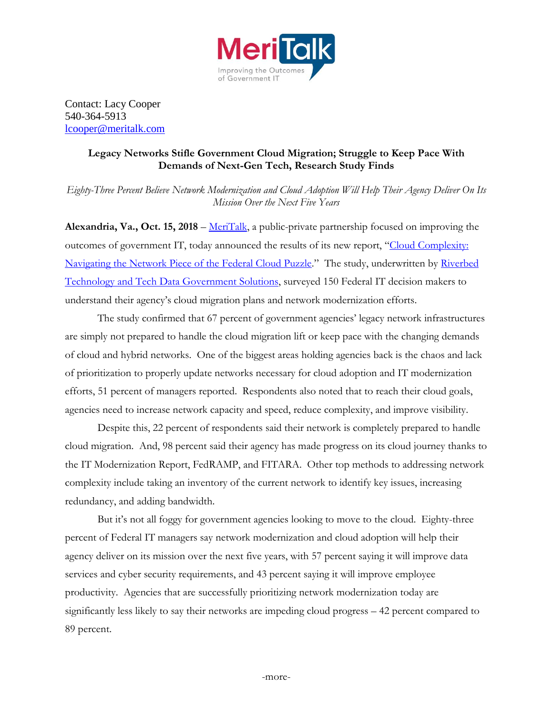

Contact: Lacy Cooper 540-364-5913 [lcooper@meritalk.com](mailto:lcooper@meritalk.com)

## **Legacy Networks Stifle Government Cloud Migration; Struggle to Keep Pace With Demands of Next-Gen Tech, Research Study Finds**

*Eighty-Three Percent Believe Network Modernization and Cloud Adoption Will Help Their Agency Deliver On Its Mission Over the Next Five Years*

**Alexandria, Va., Oct. 15, 2018** – [MeriTalk,](http://www.meritalk.com/) a public-private partnership focused on improving the outcomes of government IT, today announced the results of its new report, "[Cloud Complexity:](https://www.meritalk.com/study/cloud-complexity/?campaign=pressrelease)  [Navigating the Network Piece of the Federal Cloud Puzzle.](https://www.meritalk.com/study/cloud-complexity/?campaign=pressrelease)" The study, underwritten by [Riverbed](https://www.riverbed.com/index.html)  [Technology](https://www.riverbed.com/index.html) and [Tech Data Government Solutions,](http://gov.as.techdata.com/en-us/Pages/default.aspx) surveyed 150 Federal IT decision makers to understand their agency's cloud migration plans and network modernization efforts.

The study confirmed that 67 percent of government agencies' legacy network infrastructures are simply not prepared to handle the cloud migration lift or keep pace with the changing demands of cloud and hybrid networks. One of the biggest areas holding agencies back is the chaos and lack of prioritization to properly update networks necessary for cloud adoption and IT modernization efforts, 51 percent of managers reported. Respondents also noted that to reach their cloud goals, agencies need to increase network capacity and speed, reduce complexity, and improve visibility.

Despite this, 22 percent of respondents said their network is completely prepared to handle cloud migration. And, 98 percent said their agency has made progress on its cloud journey thanks to the IT Modernization Report, FedRAMP, and FITARA. Other top methods to addressing network complexity include taking an inventory of the current network to identify key issues, increasing redundancy, and adding bandwidth.

But it's not all foggy for government agencies looking to move to the cloud. Eighty-three percent of Federal IT managers say network modernization and cloud adoption will help their agency deliver on its mission over the next five years, with 57 percent saying it will improve data services and cyber security requirements, and 43 percent saying it will improve employee productivity. Agencies that are successfully prioritizing network modernization today are significantly less likely to say their networks are impeding cloud progress – 42 percent compared to 89 percent.